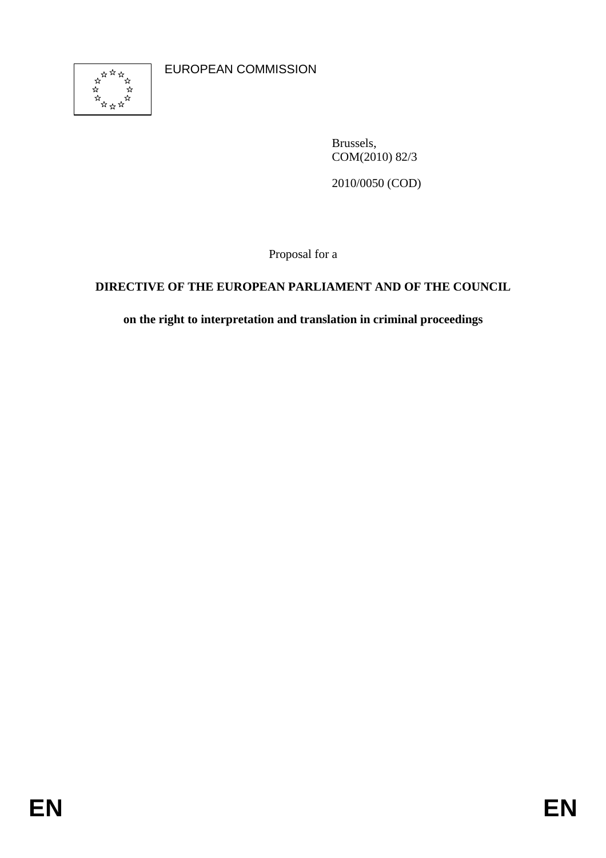

EUROPEAN COMMISSION

Brussels, COM(2010) 82/3

2010/0050 (COD)

Proposal for a

## **DIRECTIVE OF THE EUROPEAN PARLIAMENT AND OF THE COUNCIL**

**on the right to interpretation and translation in criminal proceedings**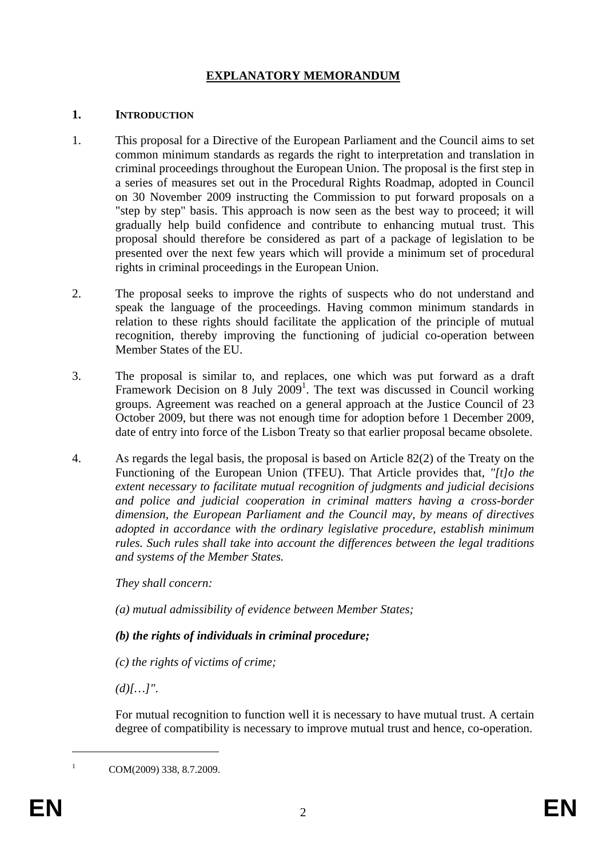## **EXPLANATORY MEMORANDUM**

#### **1. INTRODUCTION**

- 1. This proposal for a Directive of the European Parliament and the Council aims to set common minimum standards as regards the right to interpretation and translation in criminal proceedings throughout the European Union. The proposal is the first step in a series of measures set out in the Procedural Rights Roadmap, adopted in Council on 30 November 2009 instructing the Commission to put forward proposals on a "step by step" basis. This approach is now seen as the best way to proceed; it will gradually help build confidence and contribute to enhancing mutual trust. This proposal should therefore be considered as part of a package of legislation to be presented over the next few years which will provide a minimum set of procedural rights in criminal proceedings in the European Union.
- 2. The proposal seeks to improve the rights of suspects who do not understand and speak the language of the proceedings. Having common minimum standards in relation to these rights should facilitate the application of the principle of mutual recognition, thereby improving the functioning of judicial co-operation between Member States of the EU.
- 3. The proposal is similar to, and replaces, one which was put forward as a draft Framework Decision on 8 July  $2009<sup>1</sup>$ . The text was discussed in Council working groups. Agreement was reached on a general approach at the Justice Council of 23 October 2009, but there was not enough time for adoption before 1 December 2009, date of entry into force of the Lisbon Treaty so that earlier proposal became obsolete.
- 4. As regards the legal basis, the proposal is based on Article 82(2) of the Treaty on the Functioning of the European Union (TFEU). That Article provides that, *"[t]o the extent necessary to facilitate mutual recognition of judgments and judicial decisions and police and judicial cooperation in criminal matters having a cross-border dimension, the European Parliament and the Council may, by means of directives adopted in accordance with the ordinary legislative procedure, establish minimum rules. Such rules shall take into account the differences between the legal traditions and systems of the Member States.*

*They shall concern:* 

*(a) mutual admissibility of evidence between Member States;* 

## *(b) the rights of individuals in criminal procedure;*

*(c) the rights of victims of crime;* 

*(d)[…]"*.

For mutual recognition to function well it is necessary to have mutual trust. A certain degree of compatibility is necessary to improve mutual trust and hence, co-operation.

COM(2009) 338, 8.7.2009.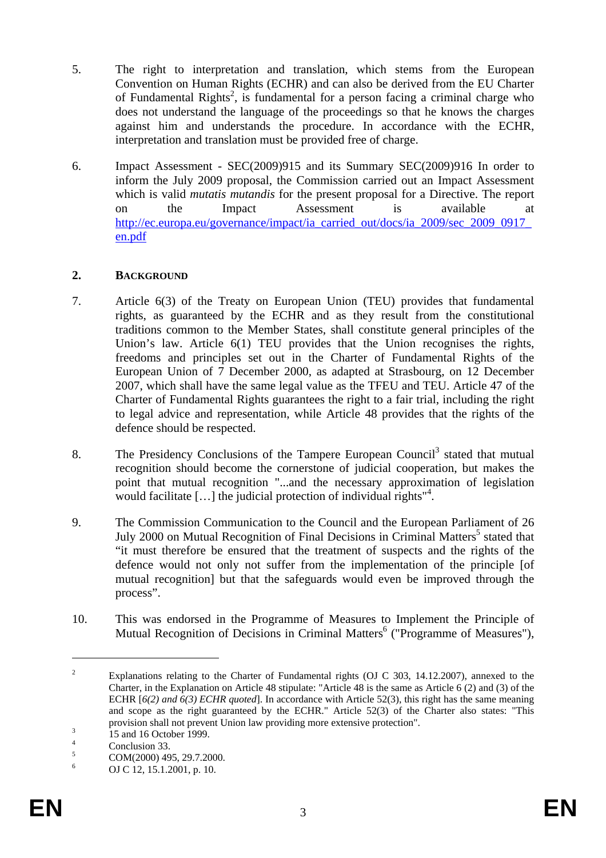- 5. The right to interpretation and translation, which stems from the European Convention on Human Rights (ECHR) and can also be derived from the EU Charter of Fundamental Rights<sup>2</sup>, is fundamental for a person facing a criminal charge who does not understand the language of the proceedings so that he knows the charges against him and understands the procedure. In accordance with the ECHR, interpretation and translation must be provided free of charge.
- 6. Impact Assessment SEC(2009)915 and its Summary SEC(2009)916 In order to inform the July 2009 proposal, the Commission carried out an Impact Assessment which is valid *mutatis mutandis* for the present proposal for a Directive. The report on the Impact Assessment is available at http://ec.europa.eu/governance/impact/ia\_carried\_out/docs/ia\_2009/sec\_2009\_0917 [en.pdf](http://ec.europa.eu/governance/impact/ia_carried_out/docs/ia_2009/sec_2009_0917_en.pdf)

#### **2. BACKGROUND**

- 7. Article 6(3) of the Treaty on European Union (TEU) provides that fundamental rights, as guaranteed by the ECHR and as they result from the constitutional traditions common to the Member States, shall constitute general principles of the Union's law. Article 6(1) TEU provides that the Union recognises the rights, freedoms and principles set out in the Charter of Fundamental Rights of the European Union of 7 December 2000, as adapted at Strasbourg, on 12 December 2007, which shall have the same legal value as the TFEU and TEU. Article 47 of the Charter of Fundamental Rights guarantees the right to a fair trial, including the right to legal advice and representation, while Article 48 provides that the rights of the defence should be respected.
- 8. The Presidency Conclusions of the Tampere European Council<sup>3</sup> stated that mutual recognition should become the cornerstone of judicial cooperation, but makes the point that mutual recognition "...and the necessary approximation of legislation would facilitate [...] the judicial protection of individual rights"<sup>4</sup>.
- 9. The Commission Communication to the Council and the European Parliament of 26 July 2000 on Mutual Recognition of Final Decisions in Criminal Matters<sup>5</sup> stated that "it must therefore be ensured that the treatment of suspects and the rights of the defence would not only not suffer from the implementation of the principle [of mutual recognition] but that the safeguards would even be improved through the process".
- 10. This was endorsed in the Programme of Measures to Implement the Principle of Mutual Recognition of Decisions in Criminal Matters<sup>6</sup> ("Programme of Measures"),

<sup>2</sup> Explanations relating to the Charter of Fundamental rights (OJ C 303, 14.12.2007), annexed to the Charter, in the Explanation on Article 48 stipulate: "Article 48 is the same as Article 6 (2) and (3) of the ECHR [*6(2) and 6(3) ECHR quoted*]. In accordance with Article 52(3), this right has the same meaning and scope as the right guaranteed by the ECHR." Article 52(3) of the Charter also states: "This provision shall not prevent Union law providing more extensive protection".

 <sup>15</sup> and 16 October 1999.

<sup>4</sup> Conclusion 33.

<sup>5</sup> COM(2000) 495, 29.7.2000.

<sup>6</sup> OJ C 12, 15.1.2001, p. 10.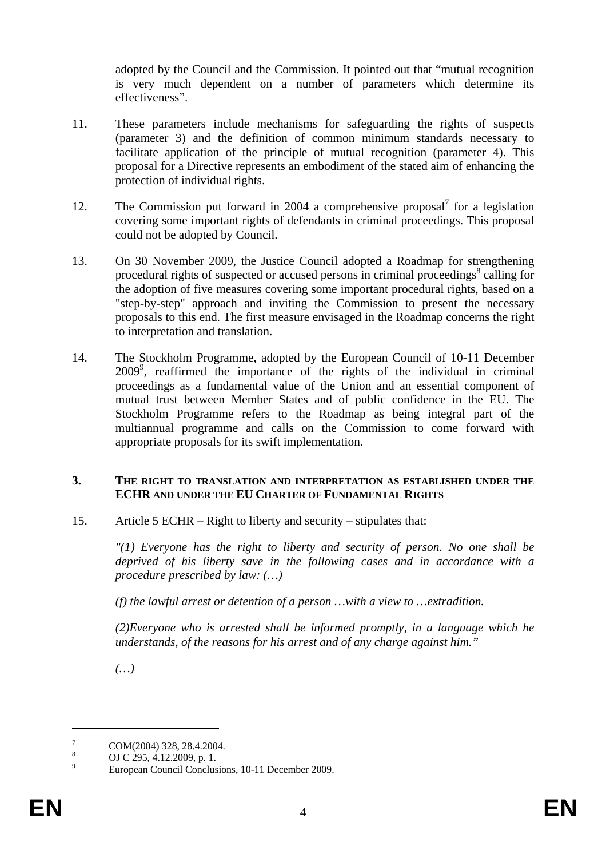adopted by the Council and the Commission. It pointed out that "mutual recognition is very much dependent on a number of parameters which determine its effectiveness".

- 11. These parameters include mechanisms for safeguarding the rights of suspects (parameter 3) and the definition of common minimum standards necessary to facilitate application of the principle of mutual recognition (parameter 4). This proposal for a Directive represents an embodiment of the stated aim of enhancing the protection of individual rights.
- 12. The Commission put forward in 2004 a comprehensive proposal<sup>7</sup> for a legislation covering some important rights of defendants in criminal proceedings. This proposal could not be adopted by Council.
- 13. On 30 November 2009, the Justice Council adopted a Roadmap for strengthening procedural rights of suspected or accused persons in criminal proceedings $\delta$  calling for the adoption of five measures covering some important procedural rights, based on a "step-by-step" approach and inviting the Commission to present the necessary proposals to this end. The first measure envisaged in the Roadmap concerns the right to interpretation and translation.
- 14. The Stockholm Programme, adopted by the European Council of 10-11 December 20099 , reaffirmed the importance of the rights of the individual in criminal proceedings as a fundamental value of the Union and an essential component of mutual trust between Member States and of public confidence in the EU. The Stockholm Programme refers to the Roadmap as being integral part of the multiannual programme and calls on the Commission to come forward with appropriate proposals for its swift implementation.

#### **3. THE RIGHT TO TRANSLATION AND INTERPRETATION AS ESTABLISHED UNDER THE ECHR AND UNDER THE EU CHARTER OF FUNDAMENTAL RIGHTS**

15. Article 5 ECHR – Right to liberty and security – stipulates that:

*"(1) Everyone has the right to liberty and security of person. No one shall be deprived of his liberty save in the following cases and in accordance with a procedure prescribed by law: (…)* 

*(f) the lawful arrest or detention of a person …with a view to …extradition.* 

*(2)Everyone who is arrested shall be informed promptly, in a language which he understands, of the reasons for his arrest and of any charge against him."* 

*(…)* 

<sup>7</sup> COM(2004) 328, 28.4.2004.

<sup>8</sup> OJ C 295, 4.12.2009, p. 1.

<sup>9</sup> European Council Conclusions, 10-11 December 2009.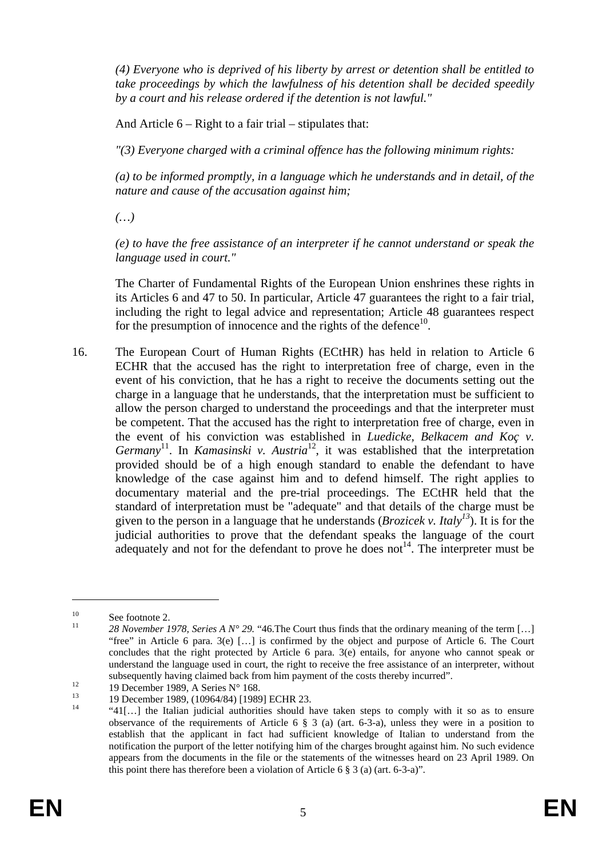*(4) Everyone who is deprived of his liberty by arrest or detention shall be entitled to take proceedings by which the lawfulness of his detention shall be decided speedily by a court and his release ordered if the detention is not lawful."* 

And Article  $6 - Right$  to a fair trial – stipulates that:

*"(3) Everyone charged with a criminal offence has the following minimum rights:* 

*(a) to be informed promptly, in a language which he understands and in detail, of the nature and cause of the accusation against him;* 

*(…)* 

*(e) to have the free assistance of an interpreter if he cannot understand or speak the language used in court."* 

The Charter of Fundamental Rights of the European Union enshrines these rights in its Articles 6 and 47 to 50. In particular, Article 47 guarantees the right to a fair trial, including the right to legal advice and representation; Article 48 guarantees respect for the presumption of innocence and the rights of the defence<sup>10</sup>.

16. The European Court of Human Rights (ECtHR) has held in relation to Article 6 ECHR that the accused has the right to interpretation free of charge, even in the event of his conviction, that he has a right to receive the documents setting out the charge in a language that he understands, that the interpretation must be sufficient to allow the person charged to understand the proceedings and that the interpreter must be competent. That the accused has the right to interpretation free of charge, even in the event of his conviction was established in *Luedicke, Belkacem and Koç v. Germany*<sup>11</sup>. In *Kamasinski v. Austria*<sup>12</sup>, it was established that the interpretation provided should be of a high enough standard to enable the defendant to have knowledge of the case against him and to defend himself. The right applies to documentary material and the pre-trial proceedings. The ECtHR held that the standard of interpretation must be "adequate" and that details of the charge must be given to the person in a language that he understands (*Brozicek v. Italy*<sup>13</sup>). It is for the judicial authorities to prove that the defendant speaks the language of the court adequately and not for the defendant to prove he does not<sup>14</sup>. The interpreter must be

<u>.</u>

 $\frac{10}{11}$  See footnote 2.

<sup>11</sup> *28 November 1978, Series A N° 29.* "46.The Court thus finds that the ordinary meaning of the term […] "free" in Article 6 para. 3(e) […] is confirmed by the object and purpose of Article 6. The Court concludes that the right protected by Article 6 para. 3(e) entails, for anyone who cannot speak or understand the language used in court, the right to receive the free assistance of an interpreter, without subsequently having claimed back from him payment of the costs thereby incurred".<br>
19 December 1989, A Series N° 168.<br>
19 December 1989, (10964/84) [1989] ECHR 23.

<sup>&</sup>lt;sup>14</sup>  $\frac{41[\ldots]}{41[\ldots]}$  the Italian judicial authorities should have taken steps to comply with it so as to ensure observance of the requirements of Article 6  $\S$  3 (a) (art. 6-3-a), unless they were in a position to establish that the applicant in fact had sufficient knowledge of Italian to understand from the notification the purport of the letter notifying him of the charges brought against him. No such evidence appears from the documents in the file or the statements of the witnesses heard on 23 April 1989. On this point there has therefore been a violation of Article 6 § 3 (a) (art. 6-3-a)".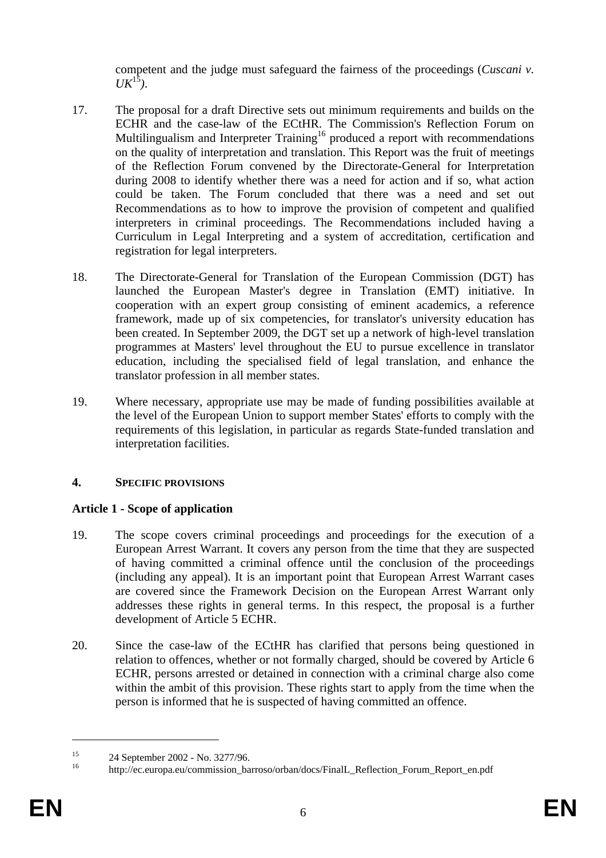competent and the judge must safeguard the fairness of the proceedings (*Cuscani v.*   $UK^{15}$ ).

- 17. The proposal for a draft Directive sets out minimum requirements and builds on the ECHR and the case-law of the ECtHR. The Commission's Reflection Forum on Multilingualism and Interpreter Training<sup>16</sup> produced a report with recommendations on the quality of interpretation and translation. This Report was the fruit of meetings of the Reflection Forum convened by the Directorate-General for Interpretation during 2008 to identify whether there was a need for action and if so, what action could be taken. The Forum concluded that there was a need and set out Recommendations as to how to improve the provision of competent and qualified interpreters in criminal proceedings. The Recommendations included having a Curriculum in Legal Interpreting and a system of accreditation, certification and registration for legal interpreters.
- 18. The Directorate-General for Translation of the European Commission (DGT) has launched the European Master's degree in Translation (EMT) initiative. In cooperation with an expert group consisting of eminent academics, a reference framework, made up of six competencies, for translator's university education has been created. In September 2009, the DGT set up a network of high-level translation programmes at Masters' level throughout the EU to pursue excellence in translator education, including the specialised field of legal translation, and enhance the translator profession in all member states.
- 19. Where necessary, appropriate use may be made of funding possibilities available at the level of the European Union to support member States' efforts to comply with the requirements of this legislation, in particular as regards State-funded translation and interpretation facilities.

## **4. SPECIFIC PROVISIONS**

## **Article 1 - Scope of application**

- 19. The scope covers criminal proceedings and proceedings for the execution of a European Arrest Warrant. It covers any person from the time that they are suspected of having committed a criminal offence until the conclusion of the proceedings (including any appeal). It is an important point that European Arrest Warrant cases are covered since the Framework Decision on the European Arrest Warrant only addresses these rights in general terms. In this respect, the proposal is a further development of Article 5 ECHR.
- 20. Since the case-law of the ECtHR has clarified that persons being questioned in relation to offences, whether or not formally charged, should be covered by Article 6 ECHR, persons arrested or detained in connection with a criminal charge also come within the ambit of this provision. These rights start to apply from the time when the person is informed that he is suspected of having committed an offence.

 $\overline{a}$ 

<sup>&</sup>lt;sup>15</sup> 24 September 2002 - No. 3277/96.

http://ec.europa.eu/commission\_barroso/orban/docs/FinalL\_Reflection\_Forum\_Report\_en.pdf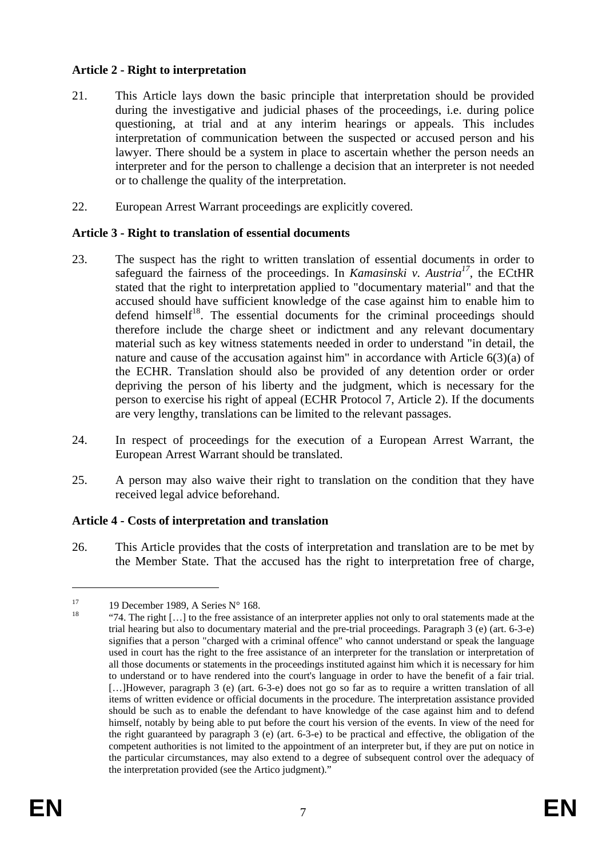#### **Article 2 - Right to interpretation**

- 21. This Article lays down the basic principle that interpretation should be provided during the investigative and judicial phases of the proceedings, i.e. during police questioning, at trial and at any interim hearings or appeals. This includes interpretation of communication between the suspected or accused person and his lawyer. There should be a system in place to ascertain whether the person needs an interpreter and for the person to challenge a decision that an interpreter is not needed or to challenge the quality of the interpretation.
- 22. European Arrest Warrant proceedings are explicitly covered.

#### **Article 3 - Right to translation of essential documents**

- 23. The suspect has the right to written translation of essential documents in order to safeguard the fairness of the proceedings. In *Kamasinski v. Austria*<sup>17</sup>, the ECtHR stated that the right to interpretation applied to "documentary material" and that the accused should have sufficient knowledge of the case against him to enable him to defend himself $18$ . The essential documents for the criminal proceedings should therefore include the charge sheet or indictment and any relevant documentary material such as key witness statements needed in order to understand "in detail, the nature and cause of the accusation against him" in accordance with Article 6(3)(a) of the ECHR. Translation should also be provided of any detention order or order depriving the person of his liberty and the judgment, which is necessary for the person to exercise his right of appeal (ECHR Protocol 7, Article 2). If the documents are very lengthy, translations can be limited to the relevant passages.
- 24. In respect of proceedings for the execution of a European Arrest Warrant, the European Arrest Warrant should be translated.
- 25. A person may also waive their right to translation on the condition that they have received legal advice beforehand.

#### **Article 4 - Costs of interpretation and translation**

26. This Article provides that the costs of interpretation and translation are to be met by the Member State. That the accused has the right to interpretation free of charge,

<sup>&</sup>lt;sup>17</sup> 19 December 1989, A Series N° 168.

<sup>&</sup>quot;74. The right [...] to the free assistance of an interpreter applies not only to oral statements made at the trial hearing but also to documentary material and the pre-trial proceedings. Paragraph 3 (e) (art. 6-3-e) signifies that a person "charged with a criminal offence" who cannot understand or speak the language used in court has the right to the free assistance of an interpreter for the translation or interpretation of all those documents or statements in the proceedings instituted against him which it is necessary for him to understand or to have rendered into the court's language in order to have the benefit of a fair trial. [...]However, paragraph 3 (e) (art. 6-3-e) does not go so far as to require a written translation of all items of written evidence or official documents in the procedure. The interpretation assistance provided should be such as to enable the defendant to have knowledge of the case against him and to defend himself, notably by being able to put before the court his version of the events. In view of the need for the right guaranteed by paragraph 3 (e) (art. 6-3-e) to be practical and effective, the obligation of the competent authorities is not limited to the appointment of an interpreter but, if they are put on notice in the particular circumstances, may also extend to a degree of subsequent control over the adequacy of the interpretation provided (see the Artico judgment)."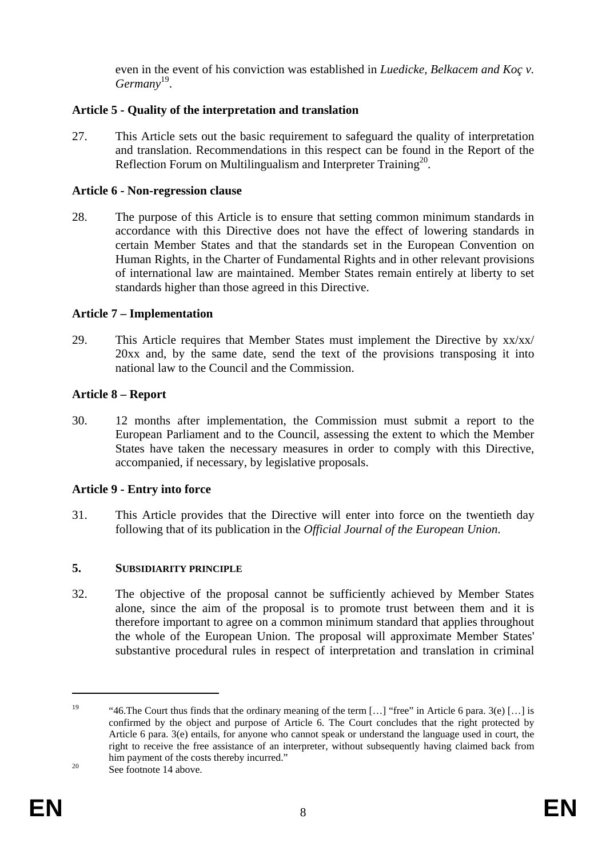even in the event of his conviction was established in *Luedicke, Belkacem and Koç v. Germany*19.

## **Article 5 - Quality of the interpretation and translation**

27. This Article sets out the basic requirement to safeguard the quality of interpretation and translation. Recommendations in this respect can be found in the Report of the Reflection Forum on Multilingualism and Interpreter Training<sup>20</sup>.

#### **Article 6 - Non-regression clause**

28. The purpose of this Article is to ensure that setting common minimum standards in accordance with this Directive does not have the effect of lowering standards in certain Member States and that the standards set in the European Convention on Human Rights, in the Charter of Fundamental Rights and in other relevant provisions of international law are maintained. Member States remain entirely at liberty to set standards higher than those agreed in this Directive.

## **Article 7 – Implementation**

29. This Article requires that Member States must implement the Directive by xx/xx/ 20xx and, by the same date, send the text of the provisions transposing it into national law to the Council and the Commission.

## **Article 8 – Report**

30. 12 months after implementation, the Commission must submit a report to the European Parliament and to the Council, assessing the extent to which the Member States have taken the necessary measures in order to comply with this Directive, accompanied, if necessary, by legislative proposals.

#### **Article 9 - Entry into force**

31. This Article provides that the Directive will enter into force on the twentieth day following that of its publication in the *Official Journal of the European Union*.

#### **5. SUBSIDIARITY PRINCIPLE**

32. The objective of the proposal cannot be sufficiently achieved by Member States alone, since the aim of the proposal is to promote trust between them and it is therefore important to agree on a common minimum standard that applies throughout the whole of the European Union. The proposal will approximate Member States' substantive procedural rules in respect of interpretation and translation in criminal

<sup>&</sup>lt;sup>19</sup> "46. The Court thus finds that the ordinary meaning of the term [...] "free" in Article 6 para. 3(e) [...] is confirmed by the object and purpose of Article 6. The Court concludes that the right protected by Article 6 para. 3(e) entails, for anyone who cannot speak or understand the language used in court, the right to receive the free assistance of an interpreter, without subsequently having claimed back from him payment of the costs thereby incurred."<br>See footnote 14 above.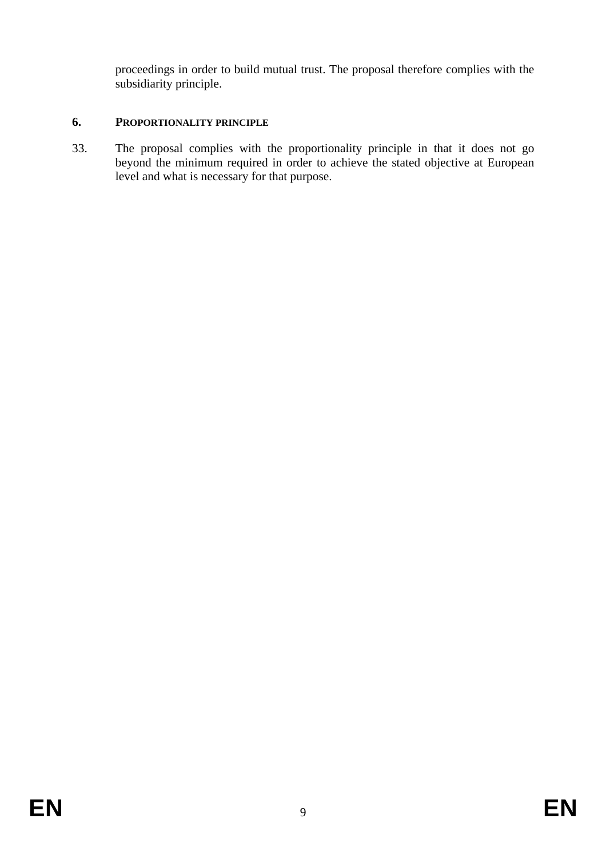proceedings in order to build mutual trust. The proposal therefore complies with the subsidiarity principle.

## **6. PROPORTIONALITY PRINCIPLE**

33. The proposal complies with the proportionality principle in that it does not go beyond the minimum required in order to achieve the stated objective at European level and what is necessary for that purpose.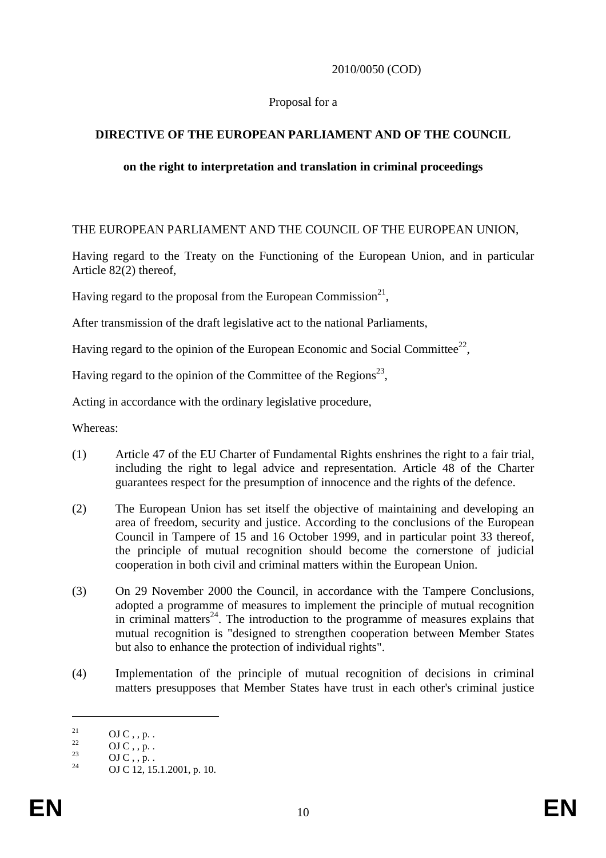#### 2010/0050 (COD)

#### Proposal for a

## **DIRECTIVE OF THE EUROPEAN PARLIAMENT AND OF THE COUNCIL**

#### **on the right to interpretation and translation in criminal proceedings**

#### THE EUROPEAN PARLIAMENT AND THE COUNCIL OF THE EUROPEAN UNION,

Having regard to the Treaty on the Functioning of the European Union, and in particular Article 82(2) thereof,

Having regard to the proposal from the European Commission<sup>21</sup>,

After transmission of the draft legislative act to the national Parliaments,

Having regard to the opinion of the European Economic and Social Committee<sup>22</sup>,

Having regard to the opinion of the Committee of the Regions<sup>23</sup>,

Acting in accordance with the ordinary legislative procedure,

Whereas:

- (1) Article 47 of the EU Charter of Fundamental Rights enshrines the right to a fair trial, including the right to legal advice and representation. Article 48 of the Charter guarantees respect for the presumption of innocence and the rights of the defence.
- (2) The European Union has set itself the objective of maintaining and developing an area of freedom, security and justice. According to the conclusions of the European Council in Tampere of 15 and 16 October 1999, and in particular point 33 thereof, the principle of mutual recognition should become the cornerstone of judicial cooperation in both civil and criminal matters within the European Union.
- (3) On 29 November 2000 the Council, in accordance with the Tampere Conclusions, adopted a programme of measures to implement the principle of mutual recognition in criminal matters<sup>24</sup>. The introduction to the programme of measures explains that mutual recognition is "designed to strengthen cooperation between Member States but also to enhance the protection of individual rights".
- (4) Implementation of the principle of mutual recognition of decisions in criminal matters presupposes that Member States have trust in each other's criminal justice

 $\frac{21}{22}$  OJ C, , p. .

 $\frac{22}{23}$  OJ C, , p. .

 $\frac{23}{24}$  OJ C, , p. .

OJ C 12, 15.1.2001, p. 10.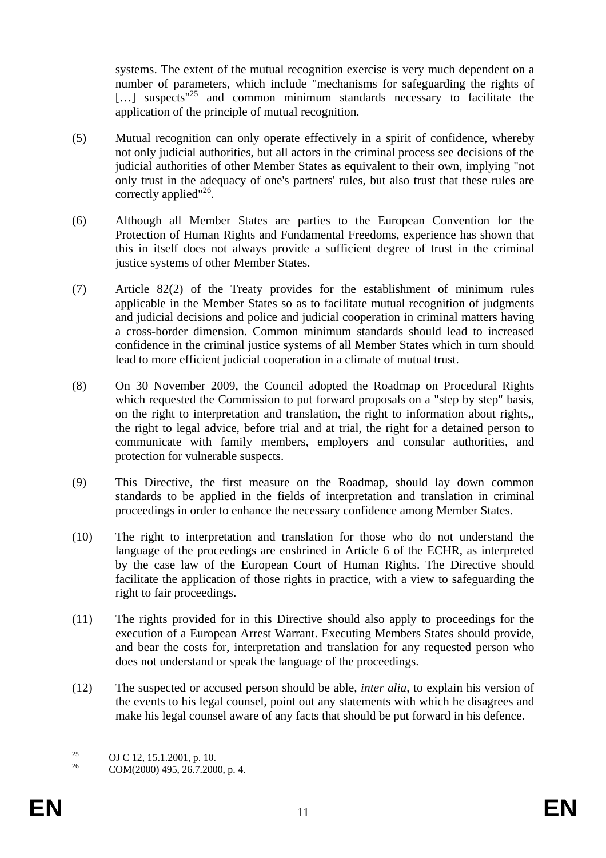systems. The extent of the mutual recognition exercise is very much dependent on a number of parameters, which include "mechanisms for safeguarding the rights of  $\lbrack \dots \rbrack$  suspects<sup>"25</sup> and common minimum standards necessary to facilitate the application of the principle of mutual recognition.

- (5) Mutual recognition can only operate effectively in a spirit of confidence, whereby not only judicial authorities, but all actors in the criminal process see decisions of the judicial authorities of other Member States as equivalent to their own, implying "not only trust in the adequacy of one's partners' rules, but also trust that these rules are correctly applied"<sup>26</sup>.
- (6) Although all Member States are parties to the European Convention for the Protection of Human Rights and Fundamental Freedoms, experience has shown that this in itself does not always provide a sufficient degree of trust in the criminal justice systems of other Member States.
- (7) Article 82(2) of the Treaty provides for the establishment of minimum rules applicable in the Member States so as to facilitate mutual recognition of judgments and judicial decisions and police and judicial cooperation in criminal matters having a cross-border dimension. Common minimum standards should lead to increased confidence in the criminal justice systems of all Member States which in turn should lead to more efficient judicial cooperation in a climate of mutual trust.
- (8) On 30 November 2009, the Council adopted the Roadmap on Procedural Rights which requested the Commission to put forward proposals on a "step by step" basis, on the right to interpretation and translation, the right to information about rights,, the right to legal advice, before trial and at trial, the right for a detained person to communicate with family members, employers and consular authorities, and protection for vulnerable suspects.
- (9) This Directive, the first measure on the Roadmap, should lay down common standards to be applied in the fields of interpretation and translation in criminal proceedings in order to enhance the necessary confidence among Member States.
- (10) The right to interpretation and translation for those who do not understand the language of the proceedings are enshrined in Article 6 of the ECHR, as interpreted by the case law of the European Court of Human Rights. The Directive should facilitate the application of those rights in practice, with a view to safeguarding the right to fair proceedings.
- (11) The rights provided for in this Directive should also apply to proceedings for the execution of a European Arrest Warrant. Executing Members States should provide, and bear the costs for, interpretation and translation for any requested person who does not understand or speak the language of the proceedings.
- (12) The suspected or accused person should be able, *inter alia*, to explain his version of the events to his legal counsel, point out any statements with which he disagrees and make his legal counsel aware of any facts that should be put forward in his defence.

 $\overline{a}$ 

<sup>&</sup>lt;sup>25</sup> OJ C 12, 15.1.2001, p. 10.<br>
<sub>26</sub> COM(2000) 405, 26.7.200

<sup>26</sup> COM(2000) 495, 26.7.2000, p. 4.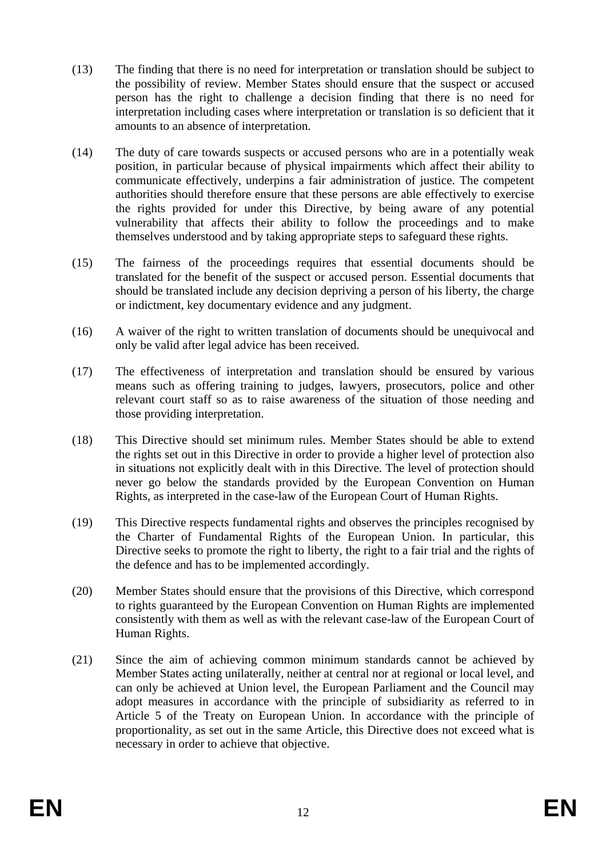- (13) The finding that there is no need for interpretation or translation should be subject to the possibility of review. Member States should ensure that the suspect or accused person has the right to challenge a decision finding that there is no need for interpretation including cases where interpretation or translation is so deficient that it amounts to an absence of interpretation.
- (14) The duty of care towards suspects or accused persons who are in a potentially weak position, in particular because of physical impairments which affect their ability to communicate effectively, underpins a fair administration of justice. The competent authorities should therefore ensure that these persons are able effectively to exercise the rights provided for under this Directive, by being aware of any potential vulnerability that affects their ability to follow the proceedings and to make themselves understood and by taking appropriate steps to safeguard these rights.
- (15) The fairness of the proceedings requires that essential documents should be translated for the benefit of the suspect or accused person. Essential documents that should be translated include any decision depriving a person of his liberty, the charge or indictment, key documentary evidence and any judgment.
- (16) A waiver of the right to written translation of documents should be unequivocal and only be valid after legal advice has been received.
- (17) The effectiveness of interpretation and translation should be ensured by various means such as offering training to judges, lawyers, prosecutors, police and other relevant court staff so as to raise awareness of the situation of those needing and those providing interpretation.
- (18) This Directive should set minimum rules. Member States should be able to extend the rights set out in this Directive in order to provide a higher level of protection also in situations not explicitly dealt with in this Directive. The level of protection should never go below the standards provided by the European Convention on Human Rights, as interpreted in the case-law of the European Court of Human Rights.
- (19) This Directive respects fundamental rights and observes the principles recognised by the Charter of Fundamental Rights of the European Union. In particular, this Directive seeks to promote the right to liberty, the right to a fair trial and the rights of the defence and has to be implemented accordingly.
- (20) Member States should ensure that the provisions of this Directive, which correspond to rights guaranteed by the European Convention on Human Rights are implemented consistently with them as well as with the relevant case-law of the European Court of Human Rights.
- (21) Since the aim of achieving common minimum standards cannot be achieved by Member States acting unilaterally, neither at central nor at regional or local level, and can only be achieved at Union level, the European Parliament and the Council may adopt measures in accordance with the principle of subsidiarity as referred to in Article 5 of the Treaty on European Union. In accordance with the principle of proportionality, as set out in the same Article, this Directive does not exceed what is necessary in order to achieve that objective.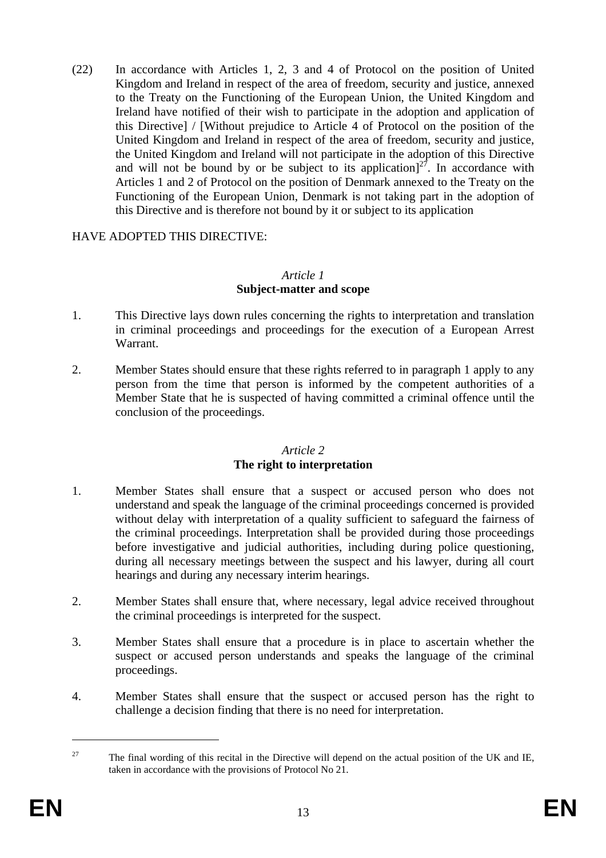(22) In accordance with Articles 1, 2, 3 and 4 of Protocol on the position of United Kingdom and Ireland in respect of the area of freedom, security and justice, annexed to the Treaty on the Functioning of the European Union, the United Kingdom and Ireland have notified of their wish to participate in the adoption and application of this Directive] / [Without prejudice to Article 4 of Protocol on the position of the United Kingdom and Ireland in respect of the area of freedom, security and justice, the United Kingdom and Ireland will not participate in the adoption of this Directive and will not be bound by or be subject to its application<sup>[27]</sup>. In accordance with Articles 1 and 2 of Protocol on the position of Denmark annexed to the Treaty on the Functioning of the European Union, Denmark is not taking part in the adoption of this Directive and is therefore not bound by it or subject to its application

## HAVE ADOPTED THIS DIRECTIVE:

#### *Article 1*  **Subject-matter and scope**

- 1. This Directive lays down rules concerning the rights to interpretation and translation in criminal proceedings and proceedings for the execution of a European Arrest Warrant.
- 2. Member States should ensure that these rights referred to in paragraph 1 apply to any person from the time that person is informed by the competent authorities of a Member State that he is suspected of having committed a criminal offence until the conclusion of the proceedings.

#### *Article 2*  **The right to interpretation**

- 1. Member States shall ensure that a suspect or accused person who does not understand and speak the language of the criminal proceedings concerned is provided without delay with interpretation of a quality sufficient to safeguard the fairness of the criminal proceedings. Interpretation shall be provided during those proceedings before investigative and judicial authorities, including during police questioning, during all necessary meetings between the suspect and his lawyer, during all court hearings and during any necessary interim hearings.
- 2. Member States shall ensure that, where necessary, legal advice received throughout the criminal proceedings is interpreted for the suspect.
- 3. Member States shall ensure that a procedure is in place to ascertain whether the suspect or accused person understands and speaks the language of the criminal proceedings.
- 4. Member States shall ensure that the suspect or accused person has the right to challenge a decision finding that there is no need for interpretation.

 $\overline{a}$ 

<sup>&</sup>lt;sup>27</sup> The final wording of this recital in the Directive will depend on the actual position of the UK and IE, taken in accordance with the provisions of Protocol No 21.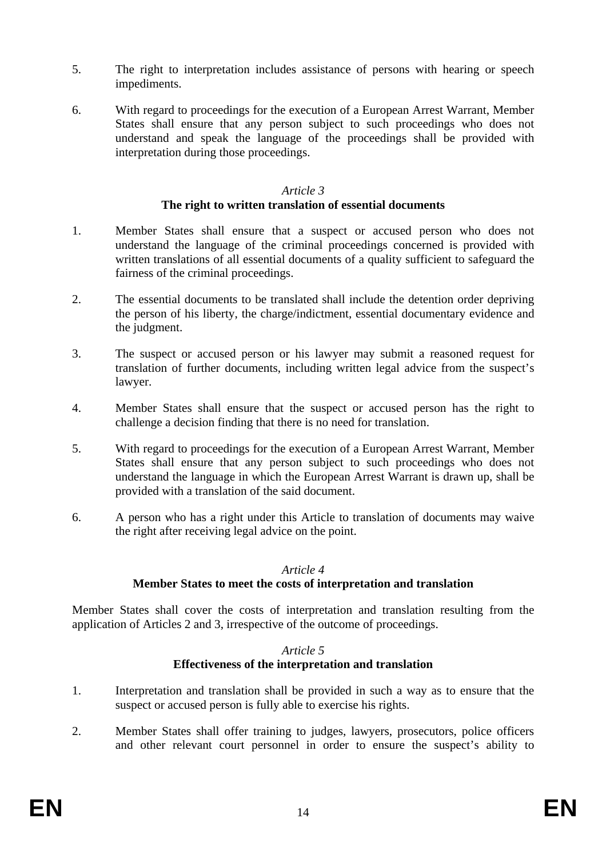- 5. The right to interpretation includes assistance of persons with hearing or speech impediments.
- 6. With regard to proceedings for the execution of a European Arrest Warrant, Member States shall ensure that any person subject to such proceedings who does not understand and speak the language of the proceedings shall be provided with interpretation during those proceedings.

#### *Article 3*

#### **The right to written translation of essential documents**

- 1. Member States shall ensure that a suspect or accused person who does not understand the language of the criminal proceedings concerned is provided with written translations of all essential documents of a quality sufficient to safeguard the fairness of the criminal proceedings.
- 2. The essential documents to be translated shall include the detention order depriving the person of his liberty, the charge/indictment, essential documentary evidence and the judgment.
- 3. The suspect or accused person or his lawyer may submit a reasoned request for translation of further documents, including written legal advice from the suspect's lawyer.
- 4. Member States shall ensure that the suspect or accused person has the right to challenge a decision finding that there is no need for translation.
- 5. With regard to proceedings for the execution of a European Arrest Warrant, Member States shall ensure that any person subject to such proceedings who does not understand the language in which the European Arrest Warrant is drawn up, shall be provided with a translation of the said document.
- 6. A person who has a right under this Article to translation of documents may waive the right after receiving legal advice on the point.

#### *Article 4*

#### **Member States to meet the costs of interpretation and translation**

Member States shall cover the costs of interpretation and translation resulting from the application of Articles 2 and 3, irrespective of the outcome of proceedings.

#### *Article 5*  **Effectiveness of the interpretation and translation**

- 1. Interpretation and translation shall be provided in such a way as to ensure that the suspect or accused person is fully able to exercise his rights.
- 2. Member States shall offer training to judges, lawyers, prosecutors, police officers and other relevant court personnel in order to ensure the suspect's ability to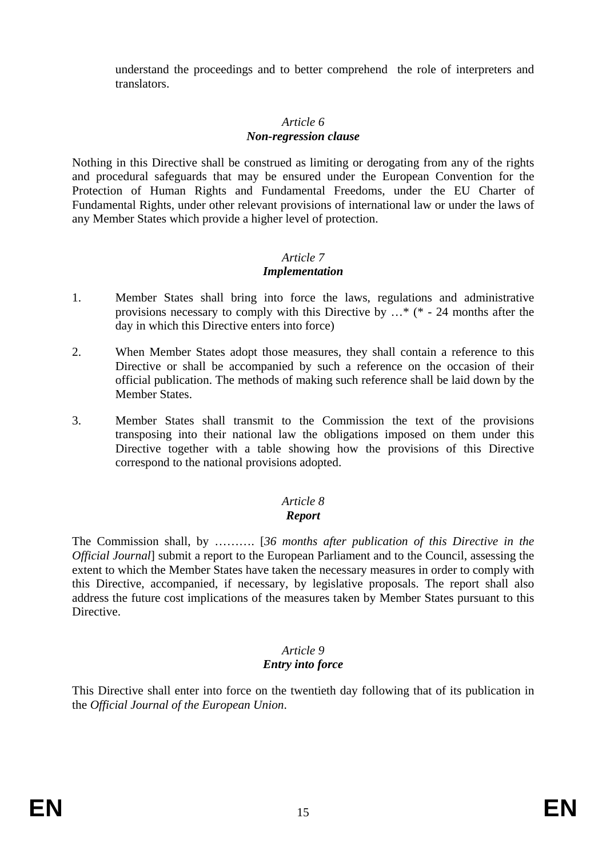understand the proceedings and to better comprehend the role of interpreters and translators.

# *Article 6*

#### *Non-regression clause*

Nothing in this Directive shall be construed as limiting or derogating from any of the rights and procedural safeguards that may be ensured under the European Convention for the Protection of Human Rights and Fundamental Freedoms, under the EU Charter of Fundamental Rights, under other relevant provisions of international law or under the laws of any Member States which provide a higher level of protection.

# *Article 7*

# *Implementation*

- 1. Member States shall bring into force the laws, regulations and administrative provisions necessary to comply with this Directive by …\* (\* - 24 months after the day in which this Directive enters into force)
- 2. When Member States adopt those measures, they shall contain a reference to this Directive or shall be accompanied by such a reference on the occasion of their official publication. The methods of making such reference shall be laid down by the Member States.
- 3. Member States shall transmit to the Commission the text of the provisions transposing into their national law the obligations imposed on them under this Directive together with a table showing how the provisions of this Directive correspond to the national provisions adopted.

# *Article 8*

## *Report*

The Commission shall, by ………. [*36 months after publication of this Directive in the Official Journal*] submit a report to the European Parliament and to the Council, assessing the extent to which the Member States have taken the necessary measures in order to comply with this Directive, accompanied, if necessary, by legislative proposals. The report shall also address the future cost implications of the measures taken by Member States pursuant to this Directive.

#### *Article 9 Entry into force*

This Directive shall enter into force on the twentieth day following that of its publication in the *Official Journal of the European Union*.